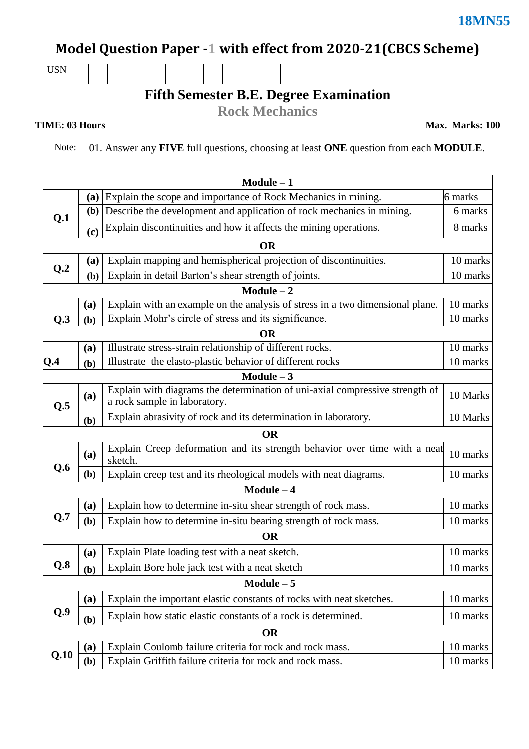## **Model Question Paper -1 with effect from 2020-21(CBCS Scheme)**

USN

## **Fifth Semester B.E. Degree Examination**

**Rock Mechanics**

**TIME: 03 Hours** Max. Marks: 100

Note: 01. Answer any **FIVE** full questions, choosing at least **ONE** question from each **MODULE**.

| $Module - 1$ |                            |                                                                                                              |          |  |  |  |  |  |
|--------------|----------------------------|--------------------------------------------------------------------------------------------------------------|----------|--|--|--|--|--|
|              | (a)                        | Explain the scope and importance of Rock Mechanics in mining.<br>6 marks                                     |          |  |  |  |  |  |
| Q.1          | ( <b>b</b> )               | Describe the development and application of rock mechanics in mining.                                        |          |  |  |  |  |  |
|              | $\left( \mathbf{c}\right)$ | Explain discontinuities and how it affects the mining operations.                                            | 8 marks  |  |  |  |  |  |
| <b>OR</b>    |                            |                                                                                                              |          |  |  |  |  |  |
| Q.2          | <b>(a)</b>                 | Explain mapping and hemispherical projection of discontinuities.                                             |          |  |  |  |  |  |
|              | (b)                        | Explain in detail Barton's shear strength of joints.                                                         | 10 marks |  |  |  |  |  |
| $Module - 2$ |                            |                                                                                                              |          |  |  |  |  |  |
| Q.3          | (a)                        | Explain with an example on the analysis of stress in a two dimensional plane.                                |          |  |  |  |  |  |
|              | (b)                        | Explain Mohr's circle of stress and its significance.                                                        | 10 marks |  |  |  |  |  |
| <b>OR</b>    |                            |                                                                                                              |          |  |  |  |  |  |
| Q.4          | (a)                        | Illustrate stress-strain relationship of different rocks.                                                    |          |  |  |  |  |  |
|              | (b)                        | Illustrate the elasto-plastic behavior of different rocks                                                    | 10 marks |  |  |  |  |  |
| Module $-3$  |                            |                                                                                                              |          |  |  |  |  |  |
| Q.5          | (a)                        | Explain with diagrams the determination of uni-axial compressive strength of<br>a rock sample in laboratory. |          |  |  |  |  |  |
|              | (b)                        | Explain abrasivity of rock and its determination in laboratory.                                              | 10 Marks |  |  |  |  |  |
| <b>OR</b>    |                            |                                                                                                              |          |  |  |  |  |  |
| Q.6          | (a)                        | Explain Creep deformation and its strength behavior over time with a neat<br>sketch.                         |          |  |  |  |  |  |
|              | (b)                        | Explain creep test and its rheological models with neat diagrams.                                            |          |  |  |  |  |  |
| $Module - 4$ |                            |                                                                                                              |          |  |  |  |  |  |
| Q.7          | (a)                        | Explain how to determine in-situ shear strength of rock mass.                                                |          |  |  |  |  |  |
|              | (b)                        | Explain how to determine in-situ bearing strength of rock mass.                                              | 10 marks |  |  |  |  |  |
| <b>OR</b>    |                            |                                                                                                              |          |  |  |  |  |  |
| Q.8          | (a)                        | Explain Plate loading test with a neat sketch.                                                               |          |  |  |  |  |  |
|              | (b)                        | Explain Bore hole jack test with a neat sketch                                                               | 10 marks |  |  |  |  |  |
| $Module - 5$ |                            |                                                                                                              |          |  |  |  |  |  |
| Q.9          | (a)                        | Explain the important elastic constants of rocks with neat sketches.                                         | 10 marks |  |  |  |  |  |
|              | (b)                        | Explain how static elastic constants of a rock is determined.                                                | 10 marks |  |  |  |  |  |
| <b>OR</b>    |                            |                                                                                                              |          |  |  |  |  |  |
| Q.10         | (a)                        | Explain Coulomb failure criteria for rock and rock mass.                                                     | 10 marks |  |  |  |  |  |
|              | (b)                        | Explain Griffith failure criteria for rock and rock mass.                                                    | 10 marks |  |  |  |  |  |